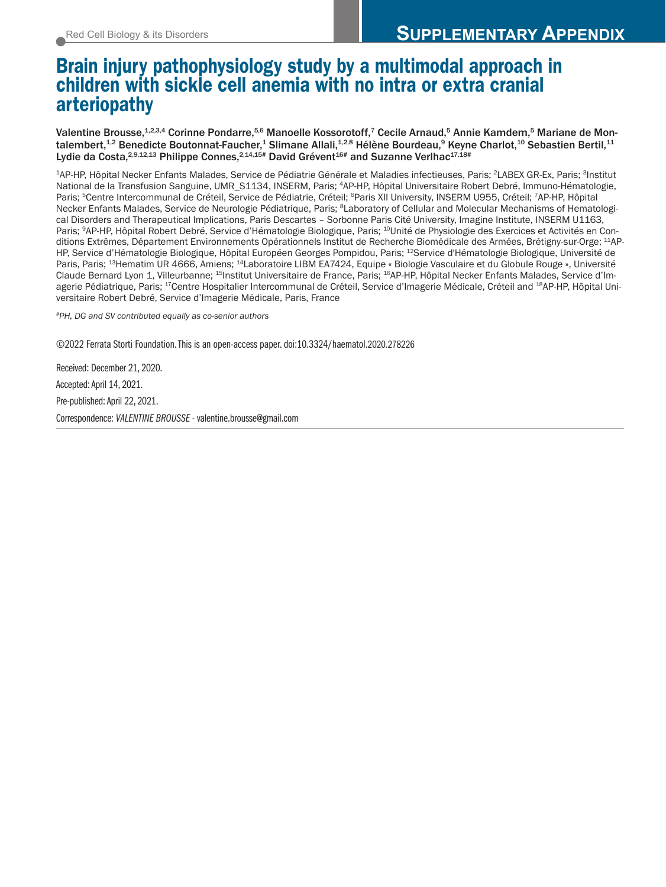# Brain injury pathophysiology study by a multimodal approach in children with sickle cell anemia with no intra or extra cranial arteriopathy

Valentine Brousse,<sup>1,2,3,4</sup> Corinne Pondarre,<sup>5,6</sup> Manoelle Kossorotoff,<sup>7</sup> Cecile Arnaud,<sup>5</sup> Annie Kamdem,<sup>5</sup> Mariane de Montalembert,<sup>1,2</sup> Benedicte Boutonnat-Faucher,<sup>1</sup> Slimane Allali,<sup>1,2,8</sup> Hélène Bourdeau,<sup>9</sup> Keyne Charlot,<sup>10</sup> Sebastien Bertil,<sup>11</sup> Lydie da Costa.<sup>2,9,12,13</sup> Philippe Connes.<sup>2,14,15#</sup> David Grévent<sup>16#</sup> and Suzanne Verlhac<sup>17,18#</sup>

1AP-HP, Hôpital Necker Enfants Malades, Service de Pédiatrie Générale et Maladies infectieuses, Paris; 2LABEX GR-Ex, Paris; 3Institut National de la Transfusion Sanguine, UMR\_S1134, INSERM, Paris; 4AP-HP, Hôpital Universitaire Robert Debré, Immuno-Hématologie, Paris; <sup>5</sup>Centre Intercommunal de Créteil, Service de Pédiatrie, Créteil; <sup>6</sup>Paris XII University, INSERM U955, Créteil; 7AP-HP, Hôpital Necker Enfants Malades, Service de Neurologie Pédiatrique, Paris; 8Laboratory of Cellular and Molecular Mechanisms of Hematological Disorders and Therapeutical Implications, Paris Descartes – Sorbonne Paris Cité University, Imagine Institute, INSERM U1163, Paris; <sup>9</sup>AP-HP, Hôpital Robert Debré, Service d'Hématologie Biologique, Paris; <sup>10</sup>Unité de Physiologie des Exercices et Activités en Conditions Extrêmes, Département Environnements Opérationnels Institut de Recherche Biomédicale des Armées, Brétigny-sur-Orge; 11AP-HP, Service d'Hématologie Biologique, Hôpital Européen Georges Pompidou, Paris; 12Service d' Hématologie Biologique, Université de Paris, Paris; 13Hematim UR 4666, Amiens; 14Laboratoire LIBM EA7424, Equipe « Biologie Vasculaire et du Globule Rouge », Université Claude Bernard Lyon 1, Villeurbanne; 15Institut Universitaire de France, Paris; 16AP-HP, Hôpital Necker Enfants Malades, Service d'Imagerie Pédiatrique, Paris; 17Centre Hospitalier Intercommunal de Créteil, Service d'Imagerie Médicale, Créteil and 18AP-HP, Hôpital Universitaire Robert Debré, Service d'Imagerie Médicale, Paris, France

*#PH, DG and SV contributed equally as co-senior authors*

©2022 Ferrata Storti Foundation. This is an open-access paper. doi:10.3324/haematol.2020.278226

Received: December 21, 2020. Accepted: April 14, 2021. Pre-published: April 22, 2021. Correspondence: *VALENTINE BROUSSE* - valentine.brousse@gmail.com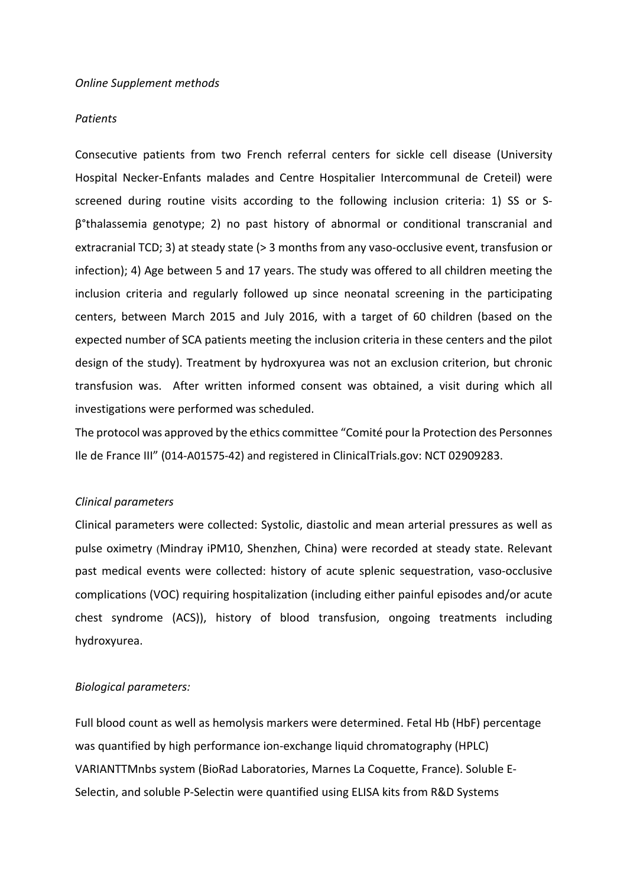#### *Patients*

Consecutive patients from two French referral centers for sickle cell disease (University Hospital Necker-Enfants malades and Centre Hospitalier Intercommunal de Creteil) were screened during routine visits according to the following inclusion criteria: 1) SS or Sβ°thalassemia genotype; 2) no past history of abnormal or conditional transcranial and extracranial TCD; 3) at steady state (> 3 months from any vaso-occlusive event, transfusion or infection); 4) Age between 5 and 17 years. The study was offered to all children meeting the inclusion criteria and regularly followed up since neonatal screening in the participating centers, between March 2015 and July 2016, with a target of 60 children (based on the expected number of SCA patients meeting the inclusion criteria in these centers and the pilot design of the study). Treatment by hydroxyurea was not an exclusion criterion, but chronic transfusion was. After written informed consent was obtained, a visit during which all investigations were performed was scheduled.

The protocol was approved by the ethics committee "Comité pour la Protection des Personnes Ile de France III" (014-A01575-42) and registered in ClinicalTrials.gov: NCT 02909283.

# *Clinical parameters*

Clinical parameters were collected: Systolic, diastolic and mean arterial pressures as well as pulse oximetry (Mindray iPM10, Shenzhen, China) were recorded at steady state. Relevant past medical events were collected: history of acute splenic sequestration, vaso-occlusive complications (VOC) requiring hospitalization (including either painful episodes and/or acute chest syndrome (ACS)), history of blood transfusion, ongoing treatments including hydroxyurea.

# *Biological parameters:*

Full blood count as well as hemolysis markers were determined. Fetal Hb (HbF) percentage was quantified by high performance ion-exchange liquid chromatography (HPLC) VARIANTTMnbs system (BioRad Laboratories, Marnes La Coquette, France). Soluble E-Selectin, and soluble P-Selectin were quantified using ELISA kits from R&D Systems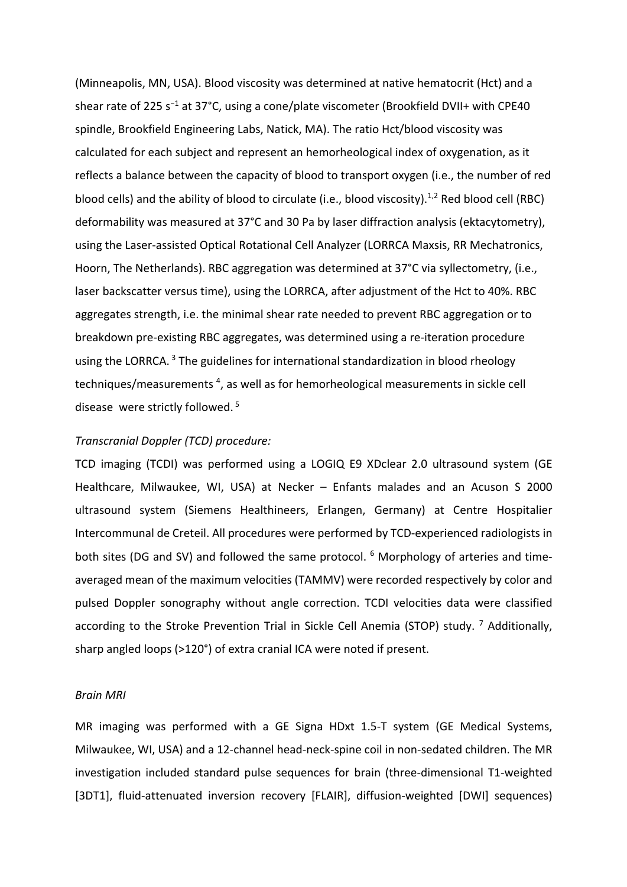(Minneapolis, MN, USA). Blood viscosity was determined at native hematocrit (Hct) and a shear rate of 225 s<sup>-1</sup> at 37°C, using a cone/plate viscometer (Brookfield DVII+ with CPE40 spindle, Brookfield Engineering Labs, Natick, MA). The ratio Hct/blood viscosity was calculated for each subject and represent an hemorheological index of oxygenation, as it reflects a balance between the capacity of blood to transport oxygen (i.e., the number of red blood cells) and the ability of blood to circulate (i.e., blood viscosity).<sup>1,2</sup> Red blood cell (RBC) deformability was measured at 37°C and 30 Pa by laser diffraction analysis (ektacytometry), using the Laser-assisted Optical Rotational Cell Analyzer (LORRCA Maxsis, RR Mechatronics, Hoorn, The Netherlands). RBC aggregation was determined at 37°C via syllectometry, (i.e., laser backscatter versus time), using the LORRCA, after adjustment of the Hct to 40%. RBC aggregates strength, i.e. the minimal shear rate needed to prevent RBC aggregation or to breakdown pre-existing RBC aggregates, was determined using a re-iteration procedure using the LORRCA.  $3$  The guidelines for international standardization in blood rheology techniques/measurements<sup>4</sup>, as well as for hemorheological measurements in sickle cell disease were strictly followed. <sup>5</sup>

#### *Transcranial Doppler (TCD) procedure:*

TCD imaging (TCDI) was performed using a LOGIQ E9 XDclear 2.0 ultrasound system (GE Healthcare, Milwaukee, WI, USA) at Necker – Enfants malades and an Acuson S 2000 ultrasound system (Siemens Healthineers, Erlangen, Germany) at Centre Hospitalier Intercommunal de Creteil. All procedures were performed by TCD-experienced radiologists in both sites (DG and SV) and followed the same protocol. <sup>6</sup> Morphology of arteries and timeaveraged mean of the maximum velocities (TAMMV) were recorded respectively by color and pulsed Doppler sonography without angle correction. TCDI velocities data were classified according to the Stroke Prevention Trial in Sickle Cell Anemia (STOP) study. <sup>7</sup> Additionally, sharp angled loops (>120°) of extra cranial ICA were noted if present.

#### *Brain MRI*

MR imaging was performed with a GE Signa HDxt 1.5-T system (GE Medical Systems, Milwaukee, WI, USA) and a 12-channel head-neck-spine coil in non-sedated children. The MR investigation included standard pulse sequences for brain (three-dimensional T1-weighted [3DT1], fluid-attenuated inversion recovery [FLAIR], diffusion-weighted [DWI] sequences)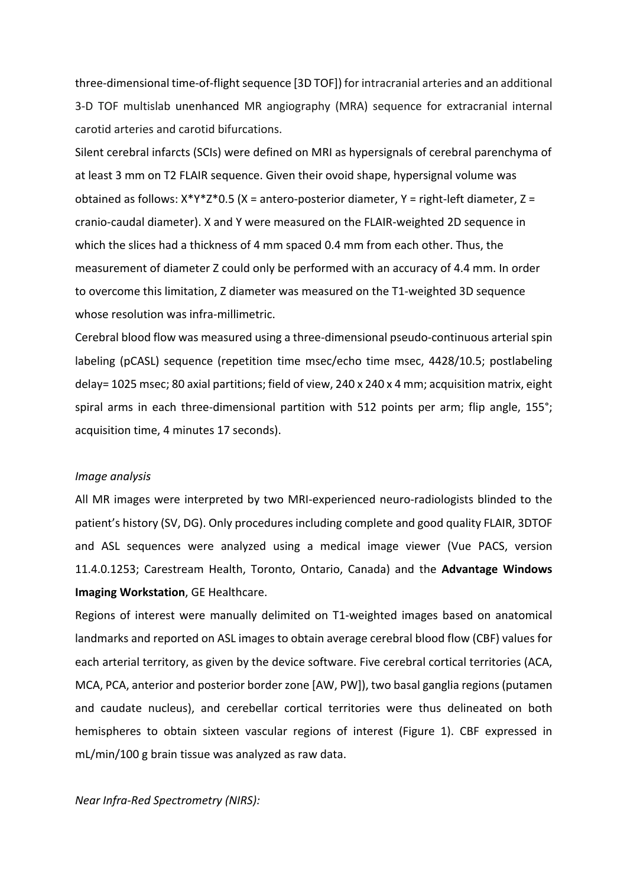three-dimensional time-of-flight sequence [3D TOF]) for intracranial arteries and an additional 3-D TOF multislab unenhanced MR angiography (MRA) sequence for extracranial internal carotid arteries and carotid bifurcations.

Silent cerebral infarcts (SCIs) were defined on MRI as hypersignals of cerebral parenchyma of at least 3 mm on T2 FLAIR sequence. Given their ovoid shape, hypersignal volume was obtained as follows:  $X^*Y^*Z^*0.5$  (X = antero-posterior diameter, Y = right-left diameter, Z = cranio-caudal diameter). X and Y were measured on the FLAIR-weighted 2D sequence in which the slices had a thickness of 4 mm spaced 0.4 mm from each other. Thus, the measurement of diameter Z could only be performed with an accuracy of 4.4 mm. In order to overcome this limitation, Z diameter was measured on the T1-weighted 3D sequence whose resolution was infra-millimetric.

Cerebral blood flow was measured using a three-dimensional pseudo-continuous arterial spin labeling (pCASL) sequence (repetition time msec/echo time msec, 4428/10.5; postlabeling delay= 1025 msec; 80 axial partitions; field of view, 240 x 240 x 4 mm; acquisition matrix, eight spiral arms in each three-dimensional partition with 512 points per arm; flip angle, 155°; acquisition time, 4 minutes 17 seconds).

### *Image analysis*

All MR images were interpreted by two MRI-experienced neuro-radiologists blinded to the patient's history (SV, DG). Only procedures including complete and good quality FLAIR, 3DTOF and ASL sequences were analyzed using a medical image viewer (Vue PACS, version 11.4.0.1253; Carestream Health, Toronto, Ontario, Canada) and the **Advantage Windows Imaging Workstation**, GE Healthcare.

Regions of interest were manually delimited on T1-weighted images based on anatomical landmarks and reported on ASL images to obtain average cerebral blood flow (CBF) values for each arterial territory, as given by the device software. Five cerebral cortical territories (ACA, MCA, PCA, anterior and posterior border zone [AW, PW]), two basal ganglia regions (putamen and caudate nucleus), and cerebellar cortical territories were thus delineated on both hemispheres to obtain sixteen vascular regions of interest (Figure 1). CBF expressed in mL/min/100 g brain tissue was analyzed as raw data.

*Near Infra-Red Spectrometry (NIRS):*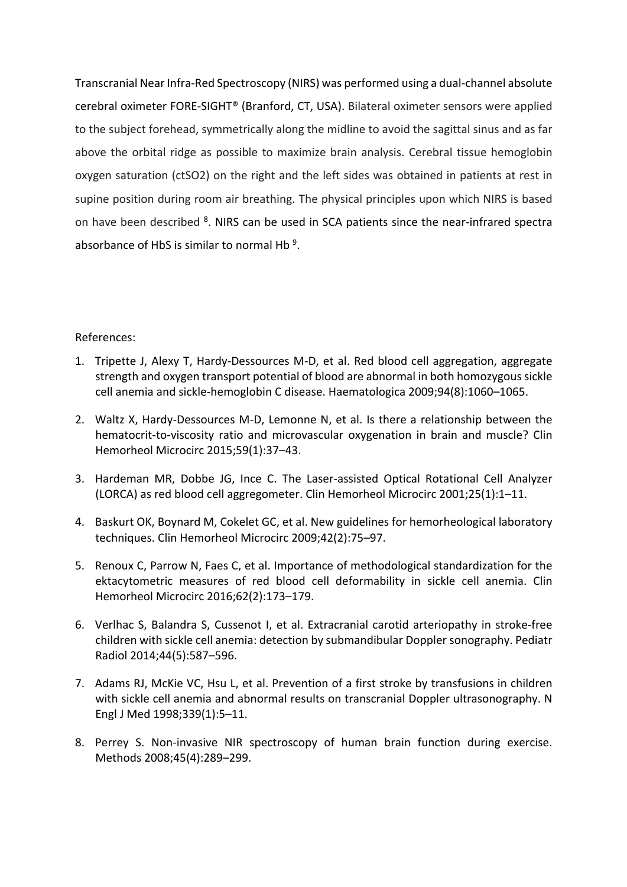Transcranial Near Infra-Red Spectroscopy (NIRS) was performed using a dual-channel absolute cerebral oximeter FORE-SIGHT® (Branford, CT, USA). Bilateral oximeter sensors were applied to the subject forehead, symmetrically along the midline to avoid the sagittal sinus and as far above the orbital ridge as possible to maximize brain analysis. Cerebral tissue hemoglobin oxygen saturation (ctSO2) on the right and the left sides was obtained in patients at rest in supine position during room air breathing. The physical principles upon which NIRS is based on have been described <sup>8</sup>. NIRS can be used in SCA patients since the near-infrared spectra absorbance of HbS is similar to normal Hb<sup>9</sup>.

# References:

- 1. Tripette J, Alexy T, Hardy-Dessources M-D, et al. Red blood cell aggregation, aggregate strength and oxygen transport potential of blood are abnormal in both homozygous sickle cell anemia and sickle-hemoglobin C disease. Haematologica 2009;94(8):1060–1065.
- 2. Waltz X, Hardy-Dessources M-D, Lemonne N, et al. Is there a relationship between the hematocrit-to-viscosity ratio and microvascular oxygenation in brain and muscle? Clin Hemorheol Microcirc 2015;59(1):37–43.
- 3. Hardeman MR, Dobbe JG, Ince C. The Laser-assisted Optical Rotational Cell Analyzer (LORCA) as red blood cell aggregometer. Clin Hemorheol Microcirc 2001;25(1):1–11.
- 4. Baskurt OK, Boynard M, Cokelet GC, et al. New guidelines for hemorheological laboratory techniques. Clin Hemorheol Microcirc 2009;42(2):75–97.
- 5. Renoux C, Parrow N, Faes C, et al. Importance of methodological standardization for the ektacytometric measures of red blood cell deformability in sickle cell anemia. Clin Hemorheol Microcirc 2016;62(2):173–179.
- 6. Verlhac S, Balandra S, Cussenot I, et al. Extracranial carotid arteriopathy in stroke-free children with sickle cell anemia: detection by submandibular Doppler sonography. Pediatr Radiol 2014;44(5):587–596.
- 7. Adams RJ, McKie VC, Hsu L, et al. Prevention of a first stroke by transfusions in children with sickle cell anemia and abnormal results on transcranial Doppler ultrasonography. N Engl J Med 1998;339(1):5–11.
- 8. Perrey S. Non-invasive NIR spectroscopy of human brain function during exercise. Methods 2008;45(4):289–299.